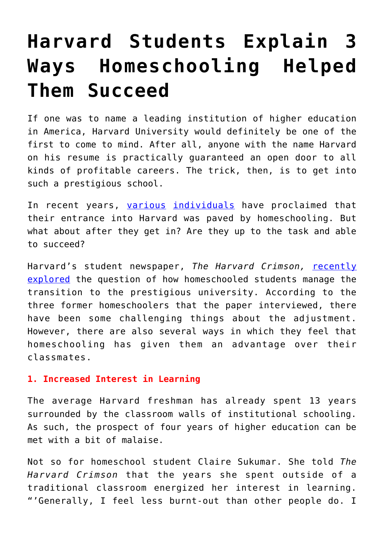## **[Harvard Students Explain 3](https://intellectualtakeout.org/2017/12/harvard-students-explain-3-ways-homeschooling-helped-them-succeed/) [Ways Homeschooling Helped](https://intellectualtakeout.org/2017/12/harvard-students-explain-3-ways-homeschooling-helped-them-succeed/) [Them Succeed](https://intellectualtakeout.org/2017/12/harvard-students-explain-3-ways-homeschooling-helped-them-succeed/)**

If one was to name a leading institution of higher education in America, Harvard University would definitely be one of the first to come to mind. After all, anyone with the name Harvard on his resume is practically guaranteed an open door to all kinds of profitable careers. The trick, then, is to get into such a prestigious school.

In recent years, [various](http://www.businessinsider.com/homeschooling-is-the-new-path-to-harvard-2015-9) [individuals](http://www.foxnews.com/opinion/2012/01/26/how-my-child-went-from-home-school-to-harvard-and-yours-can-too.html) have proclaimed that their entrance into Harvard was paved by homeschooling. But what about after they get in? Are they up to the task and able to succeed?

Harvard's student newspaper, *The Harvard Crimson,* [recently](http://www.thecrimson.com/article/2017/12/10/homeschool-harvard/) [explored](http://www.thecrimson.com/article/2017/12/10/homeschool-harvard/) the question of how homeschooled students manage the transition to the prestigious university. According to the three former homeschoolers that the paper interviewed, there have been some challenging things about the adjustment. However, there are also several ways in which they feel that homeschooling has given them an advantage over their classmates.

## **1. Increased Interest in Learning**

The average Harvard freshman has already spent 13 years surrounded by the classroom walls of institutional schooling. As such, the prospect of four years of higher education can be met with a bit of malaise.

Not so for homeschool student Claire Sukumar. She told *The Harvard Crimson* that the years she spent outside of a traditional classroom energized her interest in learning. "'Generally, I feel less burnt-out than other people do. I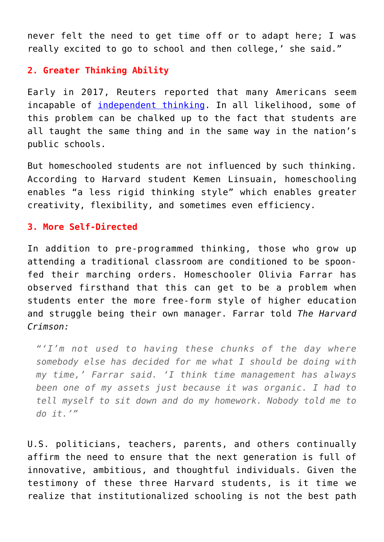never felt the need to get time off or to adapt here; I was really excited to go to school and then college,' she said."

## **2. Greater Thinking Ability**

Early in 2017, Reuters reported that many Americans seem incapable of [independent thinking.](https://www.intellectualtakeout.org/blog/new-reuters-poll-proves-many-americans-cant-think-themselves) In all likelihood, some of this problem can be chalked up to the fact that students are all taught the same thing and in the same way in the nation's public schools.

But homeschooled students are not influenced by such thinking. According to Harvard student Kemen Linsuain, homeschooling enables "a less rigid thinking style" which enables greater creativity, flexibility, and sometimes even efficiency.

## **3. More Self-Directed**

In addition to pre-programmed thinking, those who grow up attending a traditional classroom are conditioned to be spoonfed their marching orders. Homeschooler Olivia Farrar has observed firsthand that this can get to be a problem when students enter the more free-form style of higher education and struggle being their own manager. Farrar told *The Harvard Crimson:*

*"'I'm not used to having these chunks of the day where somebody else has decided for me what I should be doing with my time,' Farrar said. 'I think time management has always been one of my assets just because it was organic. I had to tell myself to sit down and do my homework. Nobody told me to do it.'"*

U.S. politicians, teachers, parents, and others continually affirm the need to ensure that the next generation is full of innovative, ambitious, and thoughtful individuals. Given the testimony of these three Harvard students, is it time we realize that institutionalized schooling is not the best path